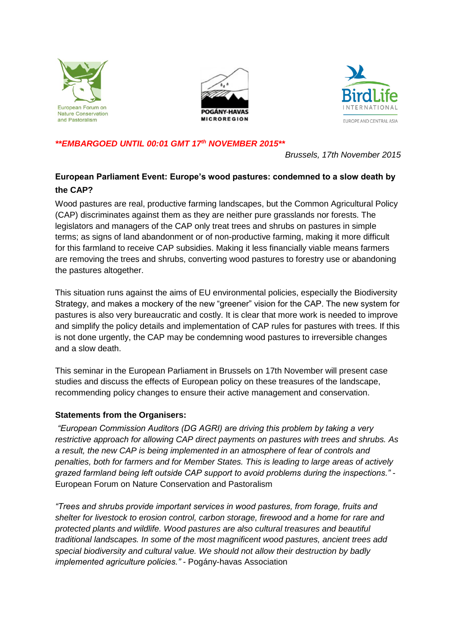





## *\*\*EMBARGOED UNTIL 00:01 GMT 17th NOVEMBER 2015\*\**

*Brussels, 17th November 2015*

# **European Parliament Event: Europe's wood pastures: condemned to a slow death by the CAP?**

Wood pastures are real, productive farming landscapes, but the Common Agricultural Policy (CAP) discriminates against them as they are neither pure grasslands nor forests. The legislators and managers of the CAP only treat trees and shrubs on pastures in simple terms; as signs of land abandonment or of non-productive farming, making it more difficult for this farmland to receive CAP subsidies. Making it less financially viable means farmers are removing the trees and shrubs, converting wood pastures to forestry use or abandoning the pastures altogether.

This situation runs against the aims of EU environmental policies, especially the Biodiversity Strategy, and makes a mockery of the new "greener" vision for the CAP. The new system for pastures is also very bureaucratic and costly. It is clear that more work is needed to improve and simplify the policy details and implementation of CAP rules for pastures with trees. If this is not done urgently, the CAP may be condemning wood pastures to irreversible changes and a slow death.

This seminar in the European Parliament in Brussels on 17th November will present case studies and discuss the effects of European policy on these treasures of the landscape, recommending policy changes to ensure their active management and conservation.

# **Statements from the Organisers:**

*"European Commission Auditors (DG AGRI) are driving this problem by taking a very restrictive approach for allowing CAP direct payments on pastures with trees and shrubs. As a result, the new CAP is being implemented in an atmosphere of fear of controls and penalties, both for farmers and for Member States. This is leading to large areas of actively grazed farmland being left outside CAP support to avoid problems during the inspections."* - European Forum on Nature Conservation and Pastoralism

*"Trees and shrubs provide important services in wood pastures, from forage, fruits and shelter for livestock to erosion control, carbon storage, firewood and a home for rare and protected plants and wildlife. Wood pastures are also cultural treasures and beautiful traditional landscapes. In some of the most magnificent wood pastures, ancient trees add special biodiversity and cultural value. We should not allow their destruction by badly implemented agriculture policies." -* Pogány-havas Association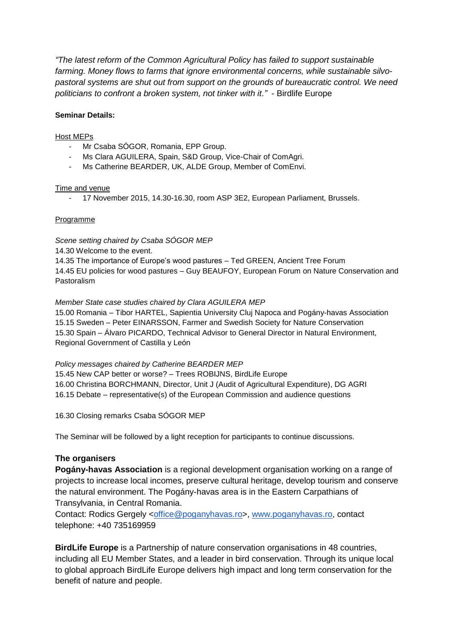*"The latest reform of the Common Agricultural Policy has failed to support sustainable farming. Money flows to farms that ignore environmental concerns, while sustainable silvopastoral systems are shut out from support on the grounds of bureaucratic control. We need politicians to confront a broken system, not tinker with it."* - Birdlife Europe

#### **Seminar Details:**

#### Host MEPs

- Mr Csaba SÓGOR, Romania, EPP Group.
- Ms Clara AGUILERA, Spain, S&D Group, Vice-Chair of ComAgri.
- Ms Catherine BEARDER, UK, ALDE Group, Member of ComEnvi.

#### Time and venue

- 17 November 2015, 14.30-16.30, room ASP 3E2, European Parliament, Brussels.

#### Programme

*Scene setting chaired by Csaba SÓGOR MEP*

14.30 Welcome to the event.

14.35 The importance of Europe's wood pastures – Ted GREEN, Ancient Tree Forum 14.45 EU policies for wood pastures – Guy BEAUFOY, European Forum on Nature Conservation and Pastoralism

*Member State case studies chaired by Clara AGUILERA MEP*

15.00 Romania – Tibor HARTEL, Sapientia University Cluj Napoca and Pogány-havas Association 15.15 Sweden – Peter EINARSSON, Farmer and Swedish Society for Nature Conservation 15.30 Spain – Álvaro PICARDO, Technical Advisor to General Director in Natural Environment, Regional Government of Castilla y León

#### *Policy messages chaired by Catherine BEARDER MEP*

15.45 New CAP better or worse? – Trees ROBIJNS, BirdLife Europe 16.00 Christina BORCHMANN, Director, Unit J (Audit of Agricultural Expenditure), DG AGRI 16.15 Debate – representative(s) of the European Commission and audience questions

16.30 Closing remarks Csaba SÓGOR MEP

The Seminar will be followed by a light reception for participants to continue discussions.

### **The organisers**

**Pogány-havas Association** is a regional development organisation working on a range of projects to increase local incomes, preserve cultural heritage, develop tourism and conserve the natural environment. The Pogány-havas area is in the Eastern Carpathians of Transylvania, in Central Romania.

Contact: Rodics Gergely [<office@poganyhavas.ro>](mailto:office@poganyhavas.ro), www.poganyhavas.ro, contact telephone: +40 735169959

**BirdLife Europe** is a Partnership of nature conservation organisations in 48 countries, including all EU Member States, and a leader in bird conservation. Through its unique local to global approach BirdLife Europe delivers high impact and long term conservation for the benefit of nature and people.